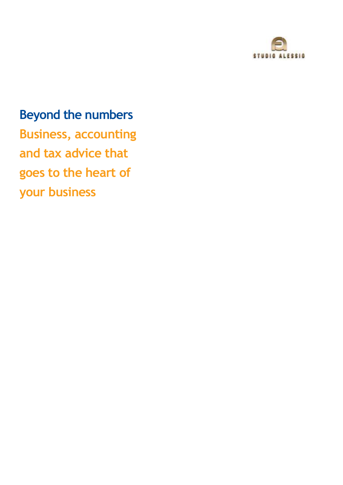

# **Beyond the numbers**

**Business, accounting and tax advice that goes to the heart of your business**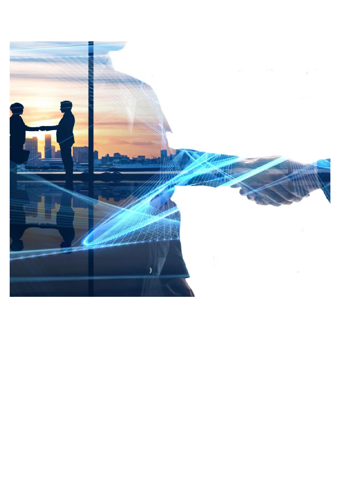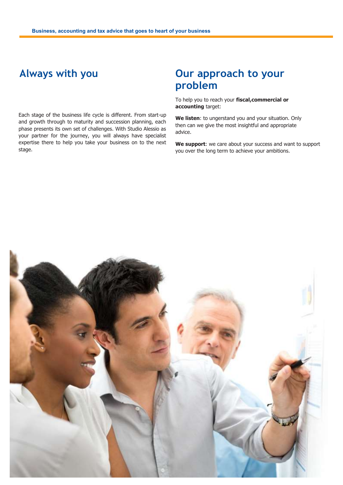#### **Always with you**

#### Each stage of the business life cycle is different. From start-up and growth through to maturity and succession planning, each phase presents its own set of challenges. With Studio Alessio as your partner for the journey, you will always have specialist expertise there to help you take your business on to the next stage.

#### **Our approach to your problem**

To help you to reach your **fiscal,commercial or accounting** target:

**We listen**: to ungerstand you and your situation. Only then can we give the most insightful and appropriate advice.

**We support**: we care about your success and want to support you over the long term to achieve your ambitions.

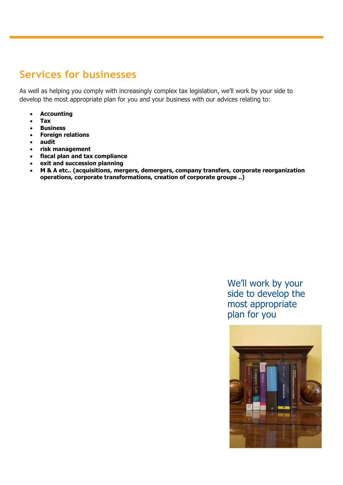### **Services for businesses**

As well as helping you comply with increasingly complex tax legislation, we'll work by your side to develop the most appropriate plan for you and your business with our advices relating to:

- **Accounting**
- **Tax**
- **Business**
- **Foreign relations**
- **audit**
- **risk management**
- **fiscal plan and tax compliance**
- **exit and succession planning**
- **M & A etc.. (acquisitions, mergers, demergers, company transfers, corporate reorganization operations, corporate transformations, creation of corporate groups ..)**

We'll work by your side to develop the most appropriate plan for you

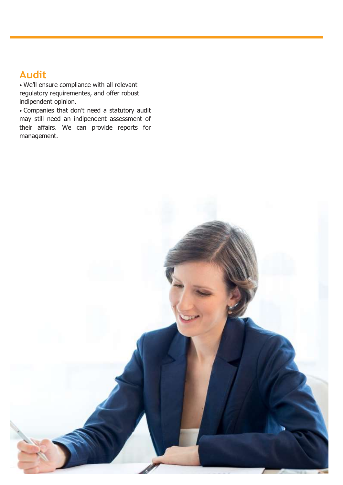# **Audit**

• We'll ensure compliance with all relevant regulatory requirementes, and offer robust indipendent opinion.

• Companies that don't need a statutory audit may still need an indipendent assessment of their affairs. We can provide reports for management.

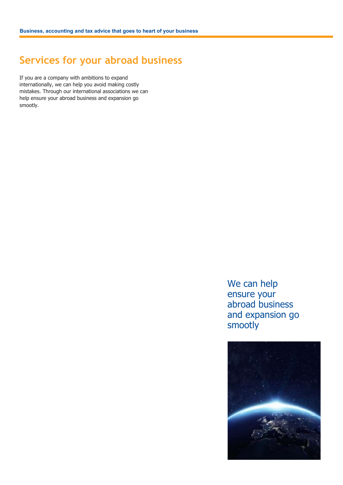### **Services for your abroad business**

If you are a company with ambitions to expand internationally, we can help you avoid making costly mistakes. Through our international associations we can help ensure your abroad business and expansion go smootly.

> We can help ensure your abroad business and expansion go smootly